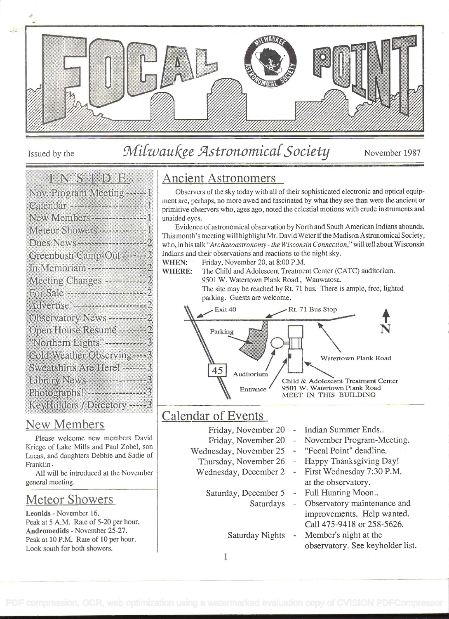

# Issued by the Milwaukee Astronomical Society November 1987

#### **EN SERIORE**

| Nov. Program Meeting------)                   |
|-----------------------------------------------|
| Calendar -----------------------              |
| New Members - - - - - - - - - - - - - - - - - |
| Meteor Showers----------------                |
| Dues News-----------------                    |
| Greenbush Camp-Out ------                     |
|                                               |
| Meeting Changes ------------2                 |
| <b>Po:</b> Sale <b></b>                       |
| Advertise!--------------------------          |
| Observatory News ----------2                  |
| Open House Resumé --------2                   |
| "Northern Lights" -----------                 |
| Cold Weather Observing-                       |
| Sweatshirts Are Here!------                   |
| Library News ---------------                  |
| Photographs! ------------------               |
| KeyHolders / Directory -----                  |

#### New Members

Please welcome new members David Kriege of Lake Mills and Paul Zobel, son Lucas, and daughters Debbie and Sadie of Franklin.

All will be introduced at the November general meeting.

#### Meteor Showers

Leonids - November 16. Peak at 5 A.M. Rate of 5-20 per hour. Andromedids - November 25-27. Peak at 10 P.M. Rate of 10 per hour. Look south for both showers.

# Ancient Astronomers

Observers of the sky today with all of their sophisticated electronic and optical equipment are, perhaps, no more awed and fascinated by what they see than were the ancient or primitive observers who, ages ago, noted the celestial motions with crude instruments and unaided eyes.

Evidence of astronomical observation by North and South American Indians abounds. This month's meeting will highlight Mr. David Weier if the Madison Astronomical Society, who, in his talk "Archaeoastronomy - the Wisconsin Connection," will tell about Wisconsin Indians and their observations and reactions to the night sky.

WHEN: Friday, November 20, at 8:00 P.M.

WHERE: The Child and Adolescent Treatment Center (CATC) auditorium. 9501 W. Watertown Plank Road., Wauwatosa.

The site may be reached by Rt. 71 bus. There is ample, free, lighted parking. Guests are welcome.



## Calendar of Events

- 
- 
- 
- 

- Friday, November 20 Indian Summer Ends..
- Friday, November 20 November Program-Meeting.
- Wednesday, November 25 "Focal Point" deadline.
	- Thursday, November 26 Happy Thanksgiving Day!
	- Wednesday, December 2 First Wednesday 7:30 P.M. at the observatory.
		- Saturday, December 5 Full Hunting Moon..
			- Saturdays Observatory maintenance and improvements. Help wanted. Call 475-9418 or 258-5626.
			- Saturday Nights Member's night at the observatory. See keyholder list.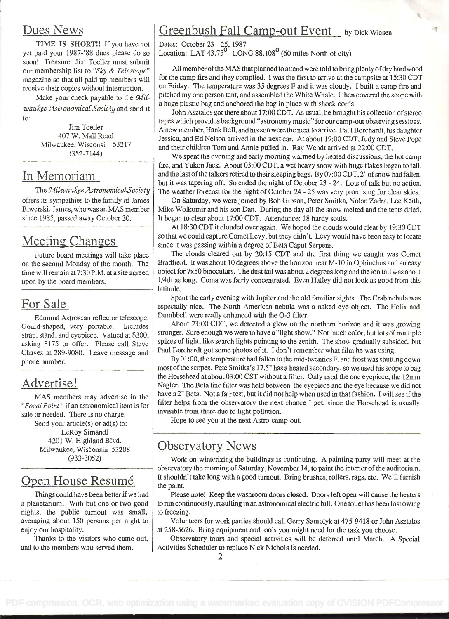#### Dues News

TIME IS SHORT!! If you have not yet paid your 1987-'88 dues please do so soon! Treasurer Jim Toeller must submit our membership list to "Sky & Telescope" magazine so that all paid up members will receive their copies without interruption.

Make your check payable to the  $\mathcal{M}il$ waukee Astronomical Society and send it to:

> Jim Toeller 407 W. Mall Road Milwaukee, Wisconsin 53217 (352-7144)

#### In Memoriam

The Milwaukee Astronomical Society offers its sympathies to the family of James Biwerski. James, who was an MAS member since 1985, passed away October 30.

# Meeting Changes

Future board meetings will take place on the second Monday of the month. The time will remain at 7: 30 P.M. at a site agreed upon by the board members.

# For Sale

Edmund Astroscan reflector telescope. Gourd-shaped, very portable. Includes strap, stand, and eyepiece. Valued at \$300, asking \$175 or offer. Please call Steve Chavez at 289-9080. Leave message and phone number.

## Advertise!

MAS members may advertise in the "Focal Point" if an astronomical item is for sale or needed. There is no charge. Send your article(s) or  $ad(s)$  to: LeRoy Simandl 4201 W. Highland Blvd. Milwaukee, Wisconsin 53208 (933-3052)

## Onen House Resumé

Things could have been better if we had a planetarium. With but one or two good nights, the public turnout was small, averaging about 150 persons per night to enjoy our hospitality.

Thanks to the visitors who came out, and to the members who served them.

# Greenbush Fall Camp-out Event by Dick Wiesen

Dates: October 23 - 25, 1987 Location: LAT 43.75<sup>°</sup> LONG 88.108<sup>°</sup> (60 miles North of city)

All member of the MAS that planned to attend were told to bring plenty of dry hardwood for the camp fire and they complied. I was the first to arrive at the campsite at 15:30 CDT on Friday. The temperature was 35 degrees F and it was cloudy. I built a camp fire and pitched my one person tent, and assembled the White Whale. I then covered the scope with a huge plastic bag and anchored the bag in place with shock cords.

John Asztalos got there about 17:00 CDT. As usual, he brought his collection of stereo tapes which provides background "astronomy music" for our camp-out observing sessions. A new member, Hank Bell, and his son were the next to arrive. Paul Borchardt, his daughter Jessica, and Ed Nelson arrived in the next car. At about 19:00 CDT, Judy and Steve Pope and their children Tom and Annie pulled in. Ray Wendt arrived at 22:00 CDT.

We spent the evening and early morning warmed by heated discussions, the hot camp fire, and Yukon Jack. About 03:00 CDT, a wet heavy snow with huge flakes began to fall, and the last of the talkers retired to their sleeping bags. By  $07:00$  CDT,  $2$ " of snow had fallen, but it was tapering off. So ended the night of October 23 - 24. Lots of talk but no action. The weather forecast for the night of October 24 - 25 was very promising for clear skies.

On Saturday, we were joined by Bob Gibson, Peter Smitka, Nolan Zadra, Lee Keith, Mike Wolkomir and his son Dan. During the day all the snow melted and the tents dried. It began to clear about 17:00 CDT. Attendance: 18 hardy souls.

At 18:30 CDT it clouded over again. We hoped the clouds would clear by 19:30 CDT so that we could capture Comet Levy, but they didn't. Levy would have been easy to locate since it was passing within a degree of Beta Caput Serpens.

The clouds cleared out by 20:15 CDT and the first thing we caught was Comet Bradfield. It was about 10 degrees above the horizon near M-10 in Ophiuchus and an easy object for 7x50 binoculars. The dust tail was about 2 degrees long and the ion tail was about 1/4th as long. Coma was fairly concentrated. Even Halley did not look as good from this latitude.

Spent the early evening with Jupiter and the old familiar sights. The Crab nebula was especially nice. The North American nebula was a naked eye object. The Helix and Dumbbell were really enhanced with the O-3 filter.

About 23:00 CDT, we detected a glow on the northern horizon and it was growing stronger. Sure enough we were to have a "light show." Not much color, but lots of multiple spikes of light, like search lights pointing to the zenith. The show gradually subsided, but Paul Borchardt got some photos of it. I don't remember what film he was using.

By 01 :00, the temperature had fallen to the mid-twenties F. and frost was shutting down most of the scopes. Pete Smitka's 17.5" has a heated secondary, so we used his scope to bag the Horsehead at about 03:00 CST without a filter. Only used the one eyepiece, the 12mm Nagler. The Beta line filter was held between the eyepiece and the eye because we did not have a 2" Beta. Not a fair test, but it did not help when used in that fashion. I will see if the filter helps from the observatory the next chance I get, since the Horsehead is usually invisible from there due to light pollution.

Hope to see you at the next Astro-camp-out.

## Observatory News

Work on winterizing the buildings is continuing. A painting party will meet at the observatory the morning of Saturday, November 14, to paint the interior of the auditorium. It shouldn't take long with a good turnout. Bring brushes, rollers, rags, etc. We'll furnish the paint.

Please note! Keep the washroom doors closed. Doors left open will cause the heaters to run continuously, resulting in an astronomical electric bill. One toilet has been lost owing to freezing.

Volunteers for work parties should call Gerry Samolyk at 475-94 18 or John Asztalos at 258-5626. Bring equipment and tools you might need for the task you choose.

Observatory tours and special activities will be deferred until March. A Special Activities Scheduler to replace Nick Nichols is needed.